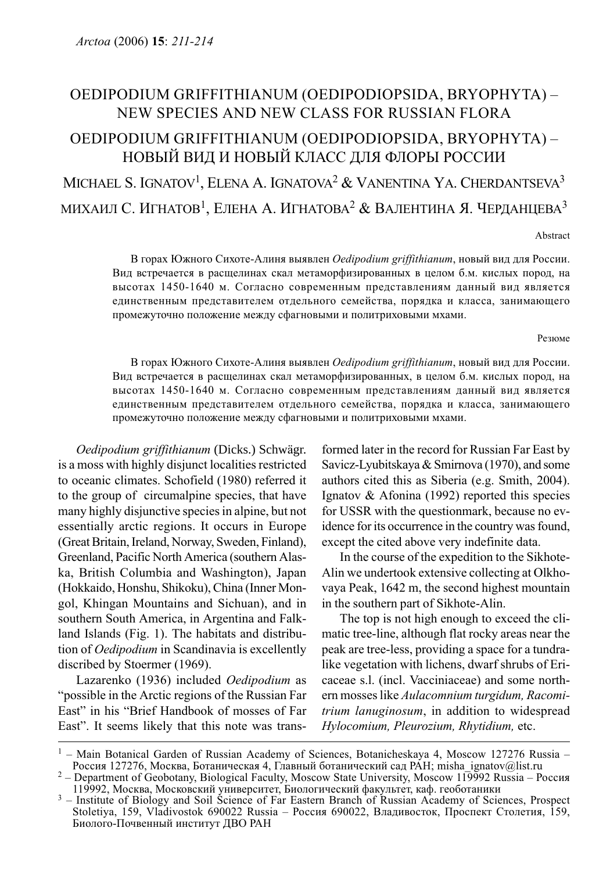## OEDIPODIUM GRIFFITHIANUM (OEDIPODIOPSIDA, BRYOPHYTA) – NEW SPECIES AND NEW CLASS FOR RUSSIAN FLORA OEDIPODIUM GRIFFITHIANUM (OEDIPODIOPSIDA, BRYOPHYTA) – НОВЫЙ ВИД И НОВЫЙ КЛАСС ДЛЯ ФЛОРЫ РОССИИ MICHAEL S. IGNATOV<sup>1</sup>, ELENA A. IGNATOVA<sup>2</sup> & VANENTINA YA. CHERDANTSEVA<sup>3</sup> МИХАИЛ С. ИГНАТОВ<sup>1</sup>, ЕЛЕНА А. ИГНАТОВА<sup>2</sup> & ВАЛЕНТИНА Я. ЧЕРДАНЦЕВА<sup>3</sup>

Abstract

В горах Южного Сихоте-Алиня выявлен Oedipodium griffithianum, новый вид для России. Вид встречается в расщелинах скал метаморфизированных в целом б.м. кислых пород, на высотах 1450-1640 м. Согласно современным представлениям данный вид является единственным представителем отдельного семейства, порядка и класса, занимающего промежуточно положение между сфагновыми и политриховыми мхами.

## Резюме

В горах Южного Сихоте-Алиня выявлен Oedipodium griffithianum, новый вид для России. Вид встречается в расщелинах скал метаморфизированных, в целом б.м. кислых пород, на высотах 1450-1640 м. Согласно современным представлениям данный вид является единственным представителем отдельного семейства, порядка и класса, занимающего промежуточно положение между сфагновыми и политриховыми мхами.

Oedipodium griffithianum (Dicks.) Schwägr. is a moss with highly disjunct localities restricted to oceanic climates. Schofield (1980) referred it to the group of circumalpine species, that have many highly disjunctive species in alpine, but not essentially arctic regions. It occurs in Europe (Great Britain, Ireland, Norway, Sweden, Finland), Greenland, Pacific North America (southern Alaska, British Columbia and Washington), Japan (Hokkaido, Honshu, Shikoku), China (Inner Mongol, Khingan Mountains and Sichuan), and in southern South America, in Argentina and Falkland Islands (Fig. 1). The habitats and distribution of Oedipodium in Scandinavia is excellently discribed by Stoermer (1969).

Lazarenko (1936) included Oedipodium as "possible in the Arctic regions of the Russian Far East" in his "Brief Handbook of mosses of Far East". It seems likely that this note was transformed later in the record for Russian Far East by Savicz-Lyubitskaya & Smirnova (1970), and some authors cited this as Siberia (e.g. Smith, 2004). Ignatov & Afonina (1992) reported this species for USSR with the questionmark, because no evidence for its occurrence in the country was found, except the cited above very indefinite data.

In the course of the expedition to the Sikhote-Alin we undertook extensive collecting at Olkhovaya Peak, 1642 m, the second highest mountain in the southern part of Sikhote-Alin.

The top is not high enough to exceed the climatic tree-line, although flat rocky areas near the peak are tree-less, providing a space for a tundralike vegetation with lichens, dwarf shrubs of Ericaceae s.l. (incl. Vacciniaceae) and some northern mosses like Aulacomnium turgidum, Racomitrium lanuginosum, in addition to widespread Hylocomium, Pleurozium, Rhytidium, etc.

<sup>&</sup>lt;sup>1</sup> – Main Botanical Garden of Russian Academy of Sciences, Botanicheskaya 4, Moscow 127276 Russia – Россия 127276, Москва, Ботаническая 4, Главный ботанический сад РАН; misha ignatov@list.ru

<sup>&</sup>lt;sup>2</sup> – Department of Geobotany, Biological Faculty, Moscow State University, Moscow 119992 Russia – Россия<br>119992, Москва, Московский университет, Биологический факультет, каф. геоботаники

 $13$  – Institute of Biology and Soil Science of Far Eastern Branch of Russian Academy of Sciences, Prospect Stoletiya, 159, Vladivostok 690022 Russia – Россия 690022, Владивосток, Проспект Столетия, 159, Биолого-Почвенный институт ДВО РАН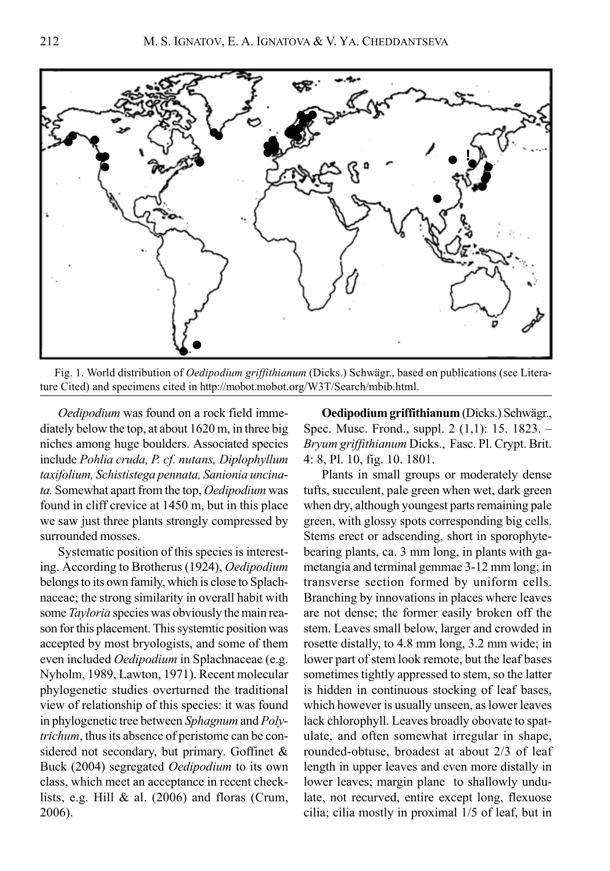

Fig. 1. World distribution of Oedipodium griffithianum (Dicks.) Schwägr., based on publications (see Literature Cited) and specimens cited in http://mobot.mobot.org/W3T/Search/mbib.html.

Oedipodium was found on a rock field immediately below the top, at about 1620 m, in three big niches among huge boulders. Associated species include Pohlia cruda, P. cf. nutans, Diplophyllum taxifolium, Schististega pennata, Sanionia uncinata. Somewhat apart from the top, Oedipodium was found in cliff crevice at 1450 m, but in this place we saw just three plants strongly compressed by surrounded mosses.

Systematic position of this species is interesting. According to Brotherus (1924), Oedipodium belongs to its own family, which is close to Splachnaceae; the strong similarity in overall habit with some Tayloria species was obviously the main reason for this placement. This systemtic position was accepted by most bryologists, and some of them even included Oedipodium in Splachnaceae (e.g. Nyholm, 1989, Lawton, 1971). Recent molecular phylogenetic studies overturned the traditional view of relationship of this species: it was found in phylogenetic tree between Sphagnum and Polytrichum, thus its absence of peristome can be considered not secondary, but primary. Goffinet & Buck (2004) segregated Oedipodium to its own class, which meet an acceptance in recent checklists, e.g. Hill & al. (2006) and floras (Crum, 2006).

Oedipodium griffithianum (Dicks.) Schwägr., Spec. Musc. Frond., suppl. 2 (1,1): 15. 1823. – Bryum griffithianum Dicks., Fasc. Pl. Crypt. Brit. 4: 8, Pl. 10, fig. 10. 1801.

Plants in small groups or moderately dense tufts, succulent, pale green when wet, dark green when dry, although youngest parts remaining pale green, with glossy spots corresponding big cells. Stems erect or adscending, short in sporophytebearing plants, са. 3 mm long, in plants with gametangia and terminal gemmae 3-12 mm long; in transverse section formed by uniform cells. Branching by innovations in places where leaves are not dense; the former easily broken off the stem. Leaves small below, larger and crowded in rosette distally, to 4.8 mm long, 3.2 mm wide; in lower part of stem look remote, but the leaf bases sometimes tightly appressed to stem, so the latter is hidden in continuous stocking of leaf bases, which however is usually unseen, as lower leaves lack chlorophyll. Leaves broadly obovate to spatulate, and often somewhat irregular in shape, rounded-obtuse, broadest at about 2/3 of leaf length in upper leaves and even more distally in lower leaves; margin plane to shallowly undulate, not recurved, entire except long, flexuose cilia; cilia mostly in proximal 1/5 of leaf, but in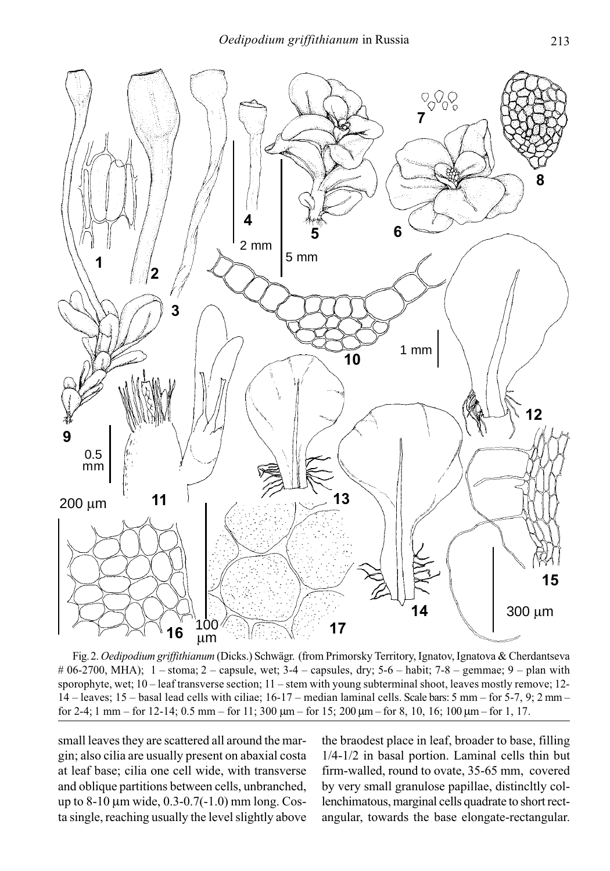

Fig. 2. Oedipodium griffithianum (Dicks.) Schwägr. (from Primorsky Territory, Ignatov, Ignatova & Cherdantseva  $\# 06-2700$ , MHA);  $1 -$ stoma;  $2 -$ capsule, wet;  $3-4 -$ capsules, dry;  $5-6 -$ habit;  $7-8 -$ gemmae;  $9 -$ plan with sporophyte, wet; 10 – leaf transverse section; 11 – stem with young subterminal shoot, leaves mostly remove; 12- 14 – leaves; 15 – basal lead cells with ciliae; 16-17 – median laminal cells. Scale bars: 5 mm – for 5-7, 9; 2 mm – for 2-4; 1 mm – for 12-14; 0.5 mm – for 11; 300 μm – for 15; 200 μm – for 8, 10, 16; 100 μm – for 1, 17.

small leaves they are scattered all around the margin; also cilia are usually present on abaxial costa at leaf base; cilia one cell wide, with transverse and oblique partitions between cells, unbranched, up to 8-10 μm wide, 0.3-0.7(-1.0) mm long. Costa single, reaching usually the level slightly above the braodest place in leaf, broader to base, filling 1/4-1/2 in basal portion. Laminal cells thin but firm-walled, round to ovate, 35-65 mm, covered by very small granulose papillae, distincltly collenchimatous, marginal cells quadrate to short rectangular, towards the base elongate-rectangular.